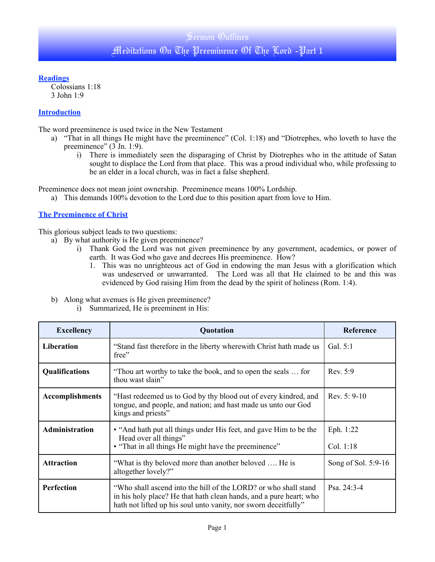#### **Readings**

Colossians 1:18 3 John 1:9

## **Introduction**

The word preeminence is used twice in the New Testament

- a) "That in all things He might have the preeminence" (Col. 1:18) and "Diotrephes, who loveth to have the preeminence" (3 Jn. 1:9).
	- i) There is immediately seen the disparaging of Christ by Diotrephes who in the attitude of Satan sought to displace the Lord from that place. This was a proud individual who, while professing to be an elder in a local church, was in fact a false shepherd.

Preeminence does not mean joint ownership. Preeminence means 100% Lordship.

a) This demands 100% devotion to the Lord due to this position apart from love to Him.

### **The Preeminence of Christ**

This glorious subject leads to two questions:

- a) By what authority is He given preeminence?
	- i) Thank God the Lord was not given preeminence by any government, academics, or power of earth. It was God who gave and decrees His preeminence. How?
		- 1. This was no unrighteous act of God in endowing the man Jesus with a glorification which was undeserved or unwarranted. The Lord was all that He claimed to be and this was evidenced by God raising Him from the dead by the spirit of holiness (Rom. 1:4).
- b) Along what avenues is He given preeminence?
	- i) Summarized, He is preeminent in His:

| <b>Excellency</b>      | Quotation                                                                                                                                                                                                | Reference              |
|------------------------|----------------------------------------------------------------------------------------------------------------------------------------------------------------------------------------------------------|------------------------|
| <b>Liberation</b>      | "Stand fast therefore in the liberty where with Christ hath made us<br>free"                                                                                                                             | Gal. $5:1$             |
| <b>Qualifications</b>  | "Thou art worthy to take the book, and to open the seals  for<br>thou wast slain"                                                                                                                        | Rev. 5:9               |
| <b>Accomplishments</b> | "Hast redeemed us to God by thy blood out of every kindred, and<br>tongue, and people, and nation; and hast made us unto our God<br>kings and priests"                                                   | Rev. $5:9-10$          |
| <b>Administration</b>  | • "And hath put all things under His feet, and gave Him to be the<br>Head over all things"<br>• "That in all things He might have the preeminence"                                                       | Eph. 1:22<br>Col. 1:18 |
| <b>Attraction</b>      | "What is thy beloved more than another beloved  He is<br>altogether lovely?"                                                                                                                             | Song of Sol. 5:9-16    |
| <b>Perfection</b>      | "Who shall ascend into the hill of the LORD? or who shall stand<br>in his holy place? He that hath clean hands, and a pure heart; who<br>hath not lifted up his soul unto vanity, nor sworn deceitfully" | Psa. $24:3-4$          |